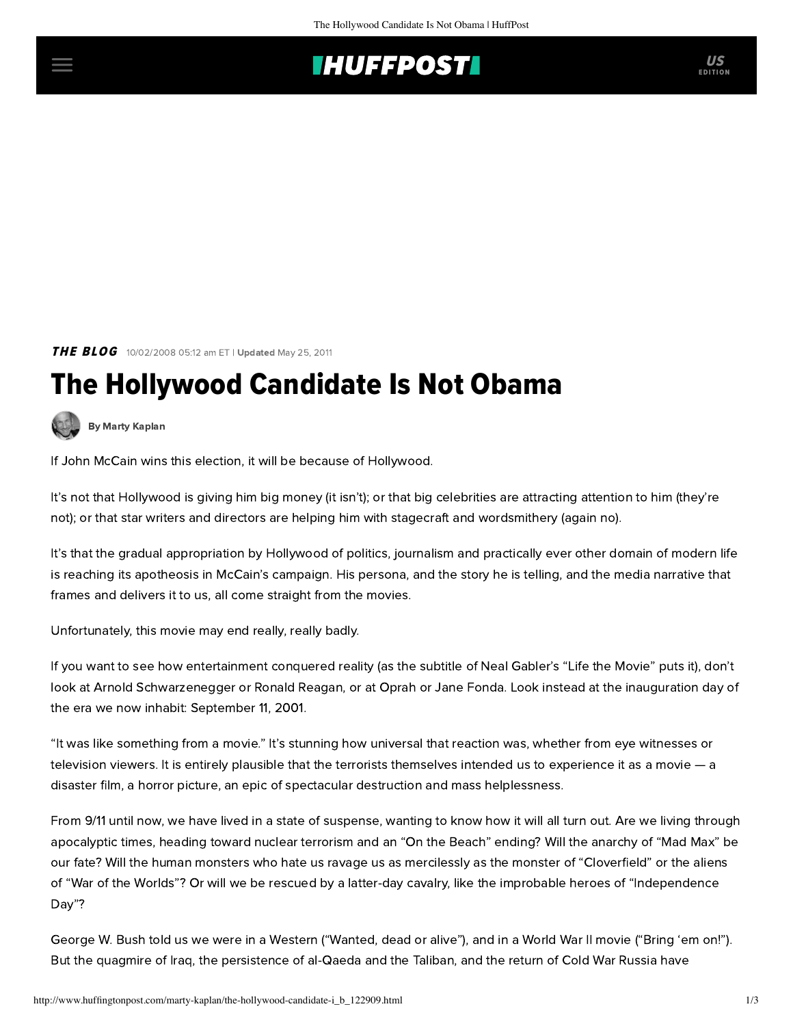## **THUFFPOSTI** US

**THE BLOG** 10/02/2008 05:12 am ET | Updated May 25, 2011

# The Hollywood Candidate Is Not Obama

[By Marty Kaplan](http://www.huffingtonpost.com/author/marty-kaplan)

If John McCain wins this election, it will be because of Hollywood.

It's not that Hollywood is giving him big money (it isn't); or that big celebrities are attracting attention to him (they're not); or that star writers and directors are helping him with stagecraft and wordsmithery (again no).

It's that the gradual appropriation by Hollywood of politics, journalism and practically ever other domain of modern life is reaching its apotheosis in McCain's campaign. His persona, and the story he is telling, and the media narrative that frames and delivers it to us, all come straight from the movies.

Unfortunately, this movie may end really, really badly.

If you want to see how entertainment conquered reality (as the subtitle of Neal Gabler's "Life the Movie" puts it), don't look at Arnold Schwarzenegger or Ronald Reagan, or at Oprah or Jane Fonda. Look instead at the inauguration day of the era we now inhabit: September 11, 2001.

"It was like something from a movie." It's stunning how universal that reaction was, whether from eye witnesses or television viewers. It is entirely plausible that the terrorists themselves intended us to experience it as a movie — a disaster film, a horror picture, an epic of spectacular destruction and mass helplessness.

From 9/11 until now, we have lived in a state of suspense, wanting to know how it will all turn out. Are we living through apocalyptic times, heading toward nuclear terrorism and an "On the Beach" ending? Will the anarchy of "Mad Max" be our fate? Will the human monsters who hate us ravage us as mercilessly as the monster of "Cloverfield" or the aliens of "War of the Worlds"? Or will we be rescued by a latter-day cavalry, like the improbable heroes of "Independence Day"?

George W. Bush told us we were in a Western ("Wanted, dead or alive"), and in a World War II movie ("Bring 'em on!"). But the quagmire of Iraq, the persistence of al-Qaeda and the Taliban, and the return of Cold War Russia have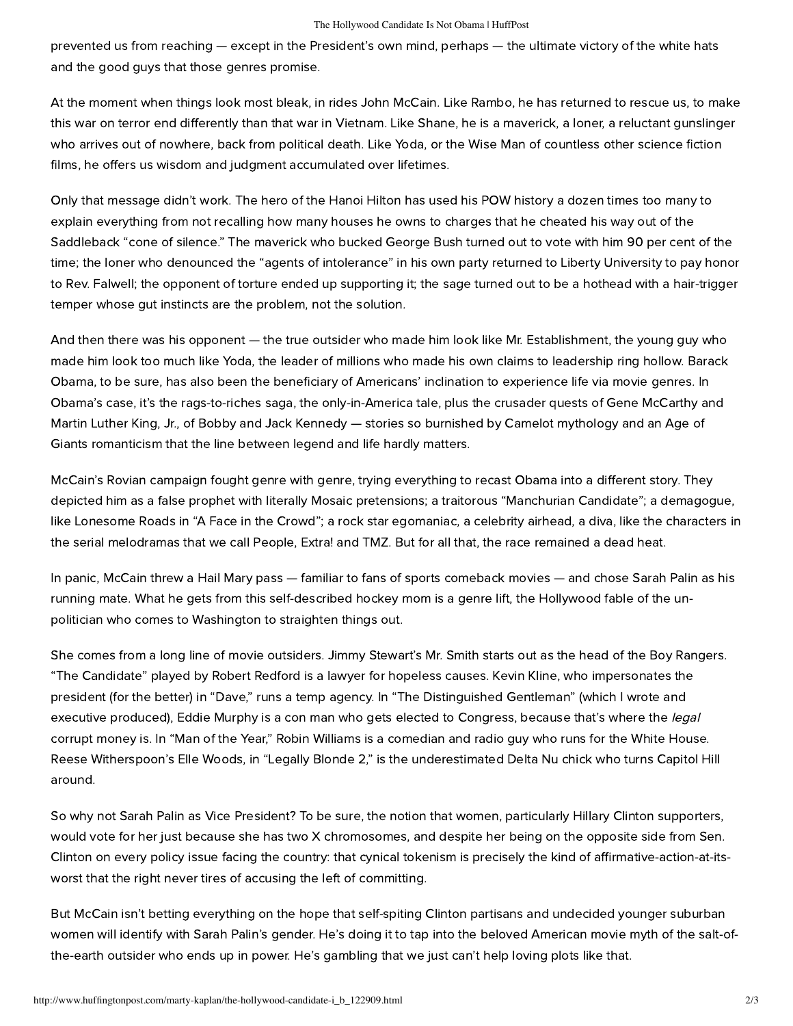#### The Hollywood Candidate Is Not Obama | HuffPost

prevented us from reaching — except in the President's own mind, perhaps — the ultimate victory of the white hats and the good guys that those genres promise.

At the moment when things look most bleak, in rides John McCain. Like Rambo, he has returned to rescue us, to make this war on terror end differently than that war in Vietnam. Like Shane, he is a maverick, a loner, a reluctant gunslinger who arrives out of nowhere, back from political death. Like Yoda, or the Wise Man of countless other science fiction films, he offers us wisdom and judgment accumulated over lifetimes.

Only that message didn't work. The hero of the Hanoi Hilton has used his POW history a dozen times too many to explain everything from not recalling how many houses he owns to charges that he cheated his way out of the Saddleback "cone of silence." The maverick who bucked George Bush turned out to vote with him 90 per cent of the time; the loner who denounced the "agents of intolerance" in his own party returned to Liberty University to pay honor to Rev. Falwell; the opponent of torture ended up supporting it; the sage turned out to be a hothead with a hair-trigger temper whose gut instincts are the problem, not the solution.

And then there was his opponent — the true outsider who made him look like Mr. Establishment, the young guy who made him look too much like Yoda, the leader of millions who made his own claims to leadership ring hollow. Barack Obama, to be sure, has also been the beneficiary of Americans' inclination to experience life via movie genres. In Obama's case, it's the rags-to-riches saga, the only-in-America tale, plus the crusader quests of Gene McCarthy and Martin Luther King, Jr., of Bobby and Jack Kennedy — stories so burnished by Camelot mythology and an Age of Giants romanticism that the line between legend and life hardly matters.

McCain's Rovian campaign fought genre with genre, trying everything to recast Obama into a different story. They depicted him as a false prophet with literally Mosaic pretensions; a traitorous "Manchurian Candidate"; a demagogue, like Lonesome Roads in "A Face in the Crowd"; a rock star egomaniac, a celebrity airhead, a diva, like the characters in the serial melodramas that we call People, Extra! and TMZ. But for all that, the race remained a dead heat.

In panic, McCain threw a Hail Mary pass — familiar to fans of sports comeback movies — and chose Sarah Palin as his running mate. What he gets from this self-described hockey mom is a genre lift, the Hollywood fable of the unpolitician who comes to Washington to straighten things out.

She comes from a long line of movie outsiders. Jimmy Stewart's Mr. Smith starts out as the head of the Boy Rangers. "The Candidate" played by Robert Redford is a lawyer for hopeless causes. Kevin Kline, who impersonates the president (for the better) in "Dave," runs a temp agency. In "The Distinguished Gentleman" (which I wrote and executive produced), Eddie Murphy is a con man who gets elected to Congress, because that's where the *legal* corrupt money is. In "Man of the Year," Robin Williams is a comedian and radio guy who runs for the White House. Reese Witherspoon's Elle Woods, in "Legally Blonde 2," is the underestimated Delta Nu chick who turns Capitol Hill around.

So why not Sarah Palin as Vice President? To be sure, the notion that women, particularly Hillary Clinton supporters, would vote for her just because she has two X chromosomes, and despite her being on the opposite side from Sen. Clinton on every policy issue facing the country: that cynical tokenism is precisely the kind of affirmative-action-at-itsworst that the right never tires of accusing the left of committing.

But McCain isn't betting everything on the hope that self-spiting Clinton partisans and undecided younger suburban women will identify with Sarah Palin's gender. He's doing it to tap into the beloved American movie myth of the salt-ofthe-earth outsider who ends up in power. He's gambling that we just can't help loving plots like that.